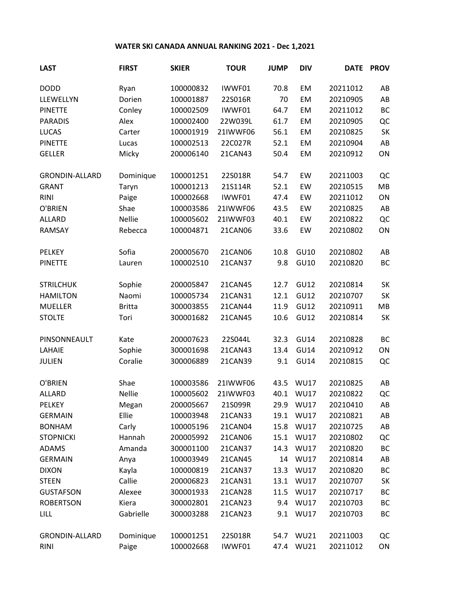## **WATER SKI CANADA ANNUAL RANKING 2021 - Dec 1,2021**

| <b>LAST</b>           | <b>FIRST</b>  | <b>SKIER</b> | <b>TOUR</b> | <b>JUMP</b> | <b>DIV</b>  | <b>DATE</b> | <b>PROV</b> |
|-----------------------|---------------|--------------|-------------|-------------|-------------|-------------|-------------|
| <b>DODD</b>           | Ryan          | 100000832    | IWWF01      | 70.8        | EM          | 20211012    | AB          |
| LLEWELLYN             | Dorien        | 100001887    | 22S016R     | 70          | EM          | 20210905    | AB          |
| <b>PINETTE</b>        | Conley        | 100002509    | IWWF01      | 64.7        | EM          | 20211012    | <b>BC</b>   |
| <b>PARADIS</b>        | Alex          | 100002400    | 22W039L     | 61.7        | EM          | 20210905    | QC          |
| <b>LUCAS</b>          | Carter        | 100001919    | 21IWWF06    | 56.1        | EM          | 20210825    | SK          |
| <b>PINETTE</b>        | Lucas         | 100002513    | 22C027R     | 52.1        | EM          | 20210904    | AB          |
| <b>GELLER</b>         | Micky         | 200006140    | 21CAN43     | 50.4        | EM          | 20210912    | ON          |
| <b>GRONDIN-ALLARD</b> | Dominique     | 100001251    | 22S018R     | 54.7        | EW          | 20211003    | QC          |
| <b>GRANT</b>          | Taryn         | 100001213    | 21S114R     | 52.1        | EW          | 20210515    | MB          |
| <b>RINI</b>           | Paige         | 100002668    | IWWF01      | 47.4        | EW          | 20211012    | ON          |
| O'BRIEN               | Shae          | 100003586    | 21IWWF06    | 43.5        | EW          | 20210825    | AB          |
| ALLARD                | <b>Nellie</b> | 100005602    | 21IWWF03    | 40.1        | EW          | 20210822    | QC          |
| RAMSAY                | Rebecca       | 100004871    | 21CAN06     | 33.6        | EW          | 20210802    | ON          |
| PELKEY                | Sofia         | 200005670    | 21CAN06     | 10.8        | <b>GU10</b> | 20210802    | AB          |
| <b>PINETTE</b>        | Lauren        | 100002510    | 21CAN37     | 9.8         | GU10        | 20210820    | BC          |
| <b>STRILCHUK</b>      | Sophie        | 200005847    | 21CAN45     | 12.7        | <b>GU12</b> | 20210814    | <b>SK</b>   |
| <b>HAMILTON</b>       | Naomi         | 100005734    | 21CAN31     | 12.1        | GU12        | 20210707    | <b>SK</b>   |
| <b>MUELLER</b>        | <b>Britta</b> | 300003855    | 21CAN44     | 11.9        | GU12        | 20210911    | MB          |
| <b>STOLTE</b>         | Tori          | 300001682    | 21CAN45     | 10.6        | GU12        | 20210814    | SK          |
| PINSONNEAULT          | Kate          | 200007623    | 22S044L     | 32.3        | <b>GU14</b> | 20210828    | BC          |
| LAHAIE                | Sophie        | 300001698    | 21CAN43     | 13.4        | GU14        | 20210912    | ON          |
| <b>JULIEN</b>         | Coralie       | 300006889    | 21CAN39     | 9.1         | <b>GU14</b> | 20210815    | QC          |
| O'BRIEN               | Shae          | 100003586    | 21IWWF06    | 43.5        | <b>WU17</b> | 20210825    | AB          |
| ALLARD                | <b>Nellie</b> | 100005602    | 21IWWF03    | 40.1        | <b>WU17</b> | 20210822    | QC          |
| <b>PELKEY</b>         | Megan         | 200005667    | 21S099R     | 29.9        | <b>WU17</b> | 20210410    | AB          |
| <b>GERMAIN</b>        | Ellie         | 100003948    | 21CAN33     | 19.1        | <b>WU17</b> | 20210821    | AB          |
| <b>BONHAM</b>         | Carly         | 100005196    | 21CAN04     | 15.8        | <b>WU17</b> | 20210725    | AB          |
| <b>STOPNICKI</b>      | Hannah        | 200005992    | 21CAN06     | 15.1        | <b>WU17</b> | 20210802    | QC          |
| <b>ADAMS</b>          | Amanda        | 300001100    | 21CAN37     | 14.3        | <b>WU17</b> | 20210820    | ВC          |
| <b>GERMAIN</b>        | Anya          | 100003949    | 21CAN45     | 14          | <b>WU17</b> | 20210814    | AB          |
| <b>DIXON</b>          | Kayla         | 100000819    | 21CAN37     | 13.3        | <b>WU17</b> | 20210820    | ВC          |
| <b>STEEN</b>          | Callie        | 200006823    | 21CAN31     | 13.1        | <b>WU17</b> | 20210707    | SK          |
| <b>GUSTAFSON</b>      | Alexee        | 300001933    | 21CAN28     | 11.5        | <b>WU17</b> | 20210717    | ВC          |
| <b>ROBERTSON</b>      | Kiera         | 300002801    | 21CAN23     | 9.4         | <b>WU17</b> | 20210703    | BC          |
| <b>LILL</b>           | Gabrielle     | 300003288    | 21CAN23     | 9.1         | <b>WU17</b> | 20210703    | ВC          |
| <b>GRONDIN-ALLARD</b> | Dominique     | 100001251    | 22S018R     | 54.7        | <b>WU21</b> | 20211003    | QC          |
| <b>RINI</b>           | Paige         | 100002668    | IWWF01      | 47.4        | <b>WU21</b> | 20211012    | ON          |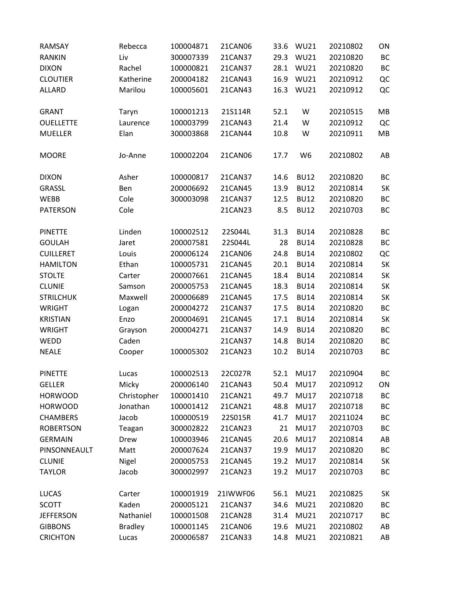| RAMSAY           | Rebecca        | 100004871 | 21CAN06  | 33.6 | <b>WU21</b>    | 20210802 | ON        |
|------------------|----------------|-----------|----------|------|----------------|----------|-----------|
| <b>RANKIN</b>    | Liv            | 300007339 | 21CAN37  | 29.3 | <b>WU21</b>    | 20210820 | BC        |
| <b>DIXON</b>     | Rachel         | 100000821 | 21CAN37  | 28.1 | <b>WU21</b>    | 20210820 | BC        |
| <b>CLOUTIER</b>  | Katherine      | 200004182 | 21CAN43  | 16.9 | <b>WU21</b>    | 20210912 | QC        |
| <b>ALLARD</b>    | Marilou        | 100005601 | 21CAN43  | 16.3 | <b>WU21</b>    | 20210912 | QC        |
| <b>GRANT</b>     | Taryn          | 100001213 | 21S114R  | 52.1 | W              | 20210515 | MB        |
| <b>OUELLETTE</b> | Laurence       | 100003799 | 21CAN43  | 21.4 | W              | 20210912 | QC        |
| <b>MUELLER</b>   | Elan           | 300003868 | 21CAN44  | 10.8 | W              | 20210911 | MB        |
| <b>MOORE</b>     | Jo-Anne        | 100002204 | 21CAN06  | 17.7 | W <sub>6</sub> | 20210802 | AB        |
| <b>DIXON</b>     | Asher          | 100000817 | 21CAN37  | 14.6 | <b>BU12</b>    | 20210820 | BC        |
| <b>GRASSL</b>    | Ben            | 200006692 | 21CAN45  | 13.9 | <b>BU12</b>    | 20210814 | SK        |
| <b>WEBB</b>      | Cole           | 300003098 | 21CAN37  | 12.5 | <b>BU12</b>    | 20210820 | <b>BC</b> |
| <b>PATERSON</b>  | Cole           |           | 21CAN23  | 8.5  | <b>BU12</b>    | 20210703 | BC        |
| <b>PINETTE</b>   | Linden         | 100002512 | 22S044L  | 31.3 | <b>BU14</b>    | 20210828 | BC        |
| <b>GOULAH</b>    | Jaret          | 200007581 | 22S044L  | 28   | <b>BU14</b>    | 20210828 | ВC        |
| <b>CUILLERET</b> | Louis          | 200006124 | 21CAN06  | 24.8 | <b>BU14</b>    | 20210802 | QC        |
| <b>HAMILTON</b>  | Ethan          | 100005731 | 21CAN45  | 20.1 | <b>BU14</b>    | 20210814 | SK        |
| <b>STOLTE</b>    | Carter         | 200007661 | 21CAN45  | 18.4 | <b>BU14</b>    | 20210814 | SK        |
| <b>CLUNIE</b>    | Samson         | 200005753 | 21CAN45  | 18.3 | <b>BU14</b>    | 20210814 | SK        |
| <b>STRILCHUK</b> | Maxwell        | 200006689 | 21CAN45  | 17.5 | <b>BU14</b>    | 20210814 | SK        |
| <b>WRIGHT</b>    | Logan          | 200004272 | 21CAN37  | 17.5 | <b>BU14</b>    | 20210820 | BC        |
| <b>KRISTIAN</b>  | Enzo           | 200004691 | 21CAN45  | 17.1 | <b>BU14</b>    | 20210814 | SK        |
| <b>WRIGHT</b>    | Grayson        | 200004271 | 21CAN37  | 14.9 | <b>BU14</b>    | 20210820 | <b>BC</b> |
| WEDD             | Caden          |           | 21CAN37  | 14.8 | <b>BU14</b>    | 20210820 | ВC        |
| <b>NEALE</b>     | Cooper         | 100005302 | 21CAN23  | 10.2 | <b>BU14</b>    | 20210703 | BC        |
| <b>PINETTE</b>   | Lucas          | 100002513 | 22C027R  | 52.1 | <b>MU17</b>    | 20210904 | BC        |
| <b>GELLER</b>    | Micky          | 200006140 | 21CAN43  | 50.4 | <b>MU17</b>    | 20210912 | ON        |
| <b>HORWOOD</b>   | Christopher    | 100001410 | 21CAN21  | 49.7 | <b>MU17</b>    | 20210718 | BC        |
| <b>HORWOOD</b>   | Jonathan       | 100001412 | 21CAN21  | 48.8 | <b>MU17</b>    | 20210718 | BC        |
| <b>CHAMBERS</b>  | Jacob          | 100000519 | 22S015R  | 41.7 | <b>MU17</b>    | 20211024 | BC        |
| <b>ROBERTSON</b> | Teagan         | 300002822 | 21CAN23  | 21   | <b>MU17</b>    | 20210703 | BC        |
| <b>GERMAIN</b>   | Drew           | 100003946 | 21CAN45  | 20.6 | <b>MU17</b>    | 20210814 | AB        |
| PINSONNEAULT     | Matt           | 200007624 | 21CAN37  | 19.9 | <b>MU17</b>    | 20210820 | BC        |
| <b>CLUNIE</b>    | Nigel          | 200005753 | 21CAN45  | 19.2 | <b>MU17</b>    | 20210814 | SK        |
| <b>TAYLOR</b>    | Jacob          | 300002997 | 21CAN23  | 19.2 | <b>MU17</b>    | 20210703 | BC        |
| <b>LUCAS</b>     | Carter         | 100001919 | 21IWWF06 | 56.1 | <b>MU21</b>    | 20210825 | SK        |
| <b>SCOTT</b>     | Kaden          | 200005121 | 21CAN37  | 34.6 | MU21           | 20210820 | ВC        |
| <b>JEFFERSON</b> | Nathaniel      | 100001508 | 21CAN28  | 31.4 | <b>MU21</b>    | 20210717 | BC        |
| <b>GIBBONS</b>   | <b>Bradley</b> | 100001145 | 21CAN06  | 19.6 | MU21           | 20210802 | AB        |
| <b>CRICHTON</b>  | Lucas          | 200006587 | 21CAN33  | 14.8 | <b>MU21</b>    | 20210821 | AB        |